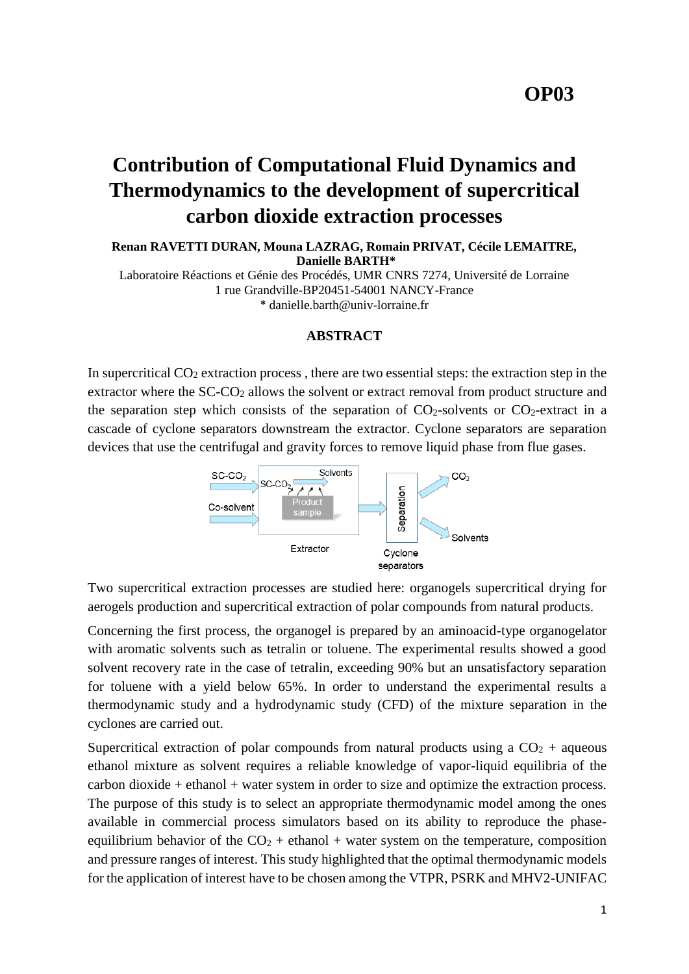## **OP03**

# **Contribution of Computational Fluid Dynamics and Thermodynamics to the development of supercritical carbon dioxide extraction processes**

**Renan RAVETTI DURAN, Mouna LAZRAG, Romain PRIVAT, Cécile LEMAITRE, Danielle BARTH\***

Laboratoire Réactions et Génie des Procédés, UMR CNRS 7274, Université de Lorraine 1 rue Grandville-BP20451-54001 NANCY-France \* [danielle.barth@univ-lorraine.fr](mailto:danielle.barth@univ-lorraine.fr)

## **ABSTRACT**

In supercritical  $CO<sub>2</sub>$  extraction process, there are two essential steps: the extraction step in the extractor where the SC-CO<sub>2</sub> allows the solvent or extract removal from product structure and the separation step which consists of the separation of  $CO<sub>2</sub>$ -solvents or  $CO<sub>2</sub>$ -extract in a cascade of cyclone separators downstream the extractor. Cyclone separators are separation devices that use the centrifugal and gravity forces to remove liquid phase from flue gases.



Two supercritical extraction processes are studied here: organogels supercritical drying for aerogels production and supercritical extraction of polar compounds from natural products.

Concerning the first process, the organogel is prepared by an aminoacid-type organogelator with aromatic solvents such as tetralin or toluene. The experimental results showed a good solvent recovery rate in the case of tetralin, exceeding 90% but an unsatisfactory separation for toluene with a yield below 65%. In order to understand the experimental results a thermodynamic study and a hydrodynamic study (CFD) of the mixture separation in the cyclones are carried out.

Supercritical extraction of polar compounds from natural products using a  $CO<sub>2</sub>$  + aqueous ethanol mixture as solvent requires a reliable knowledge of vapor-liquid equilibria of the carbon dioxide + ethanol + water system in order to size and optimize the extraction process. The purpose of this study is to select an appropriate thermodynamic model among the ones available in commercial process simulators based on its ability to reproduce the phaseequilibrium behavior of the  $CO<sub>2</sub> + ethanol + water$  system on the temperature, composition and pressure ranges of interest. This study highlighted that the optimal thermodynamic models for the application of interest have to be chosen among the VTPR, PSRK and MHV2-UNIFAC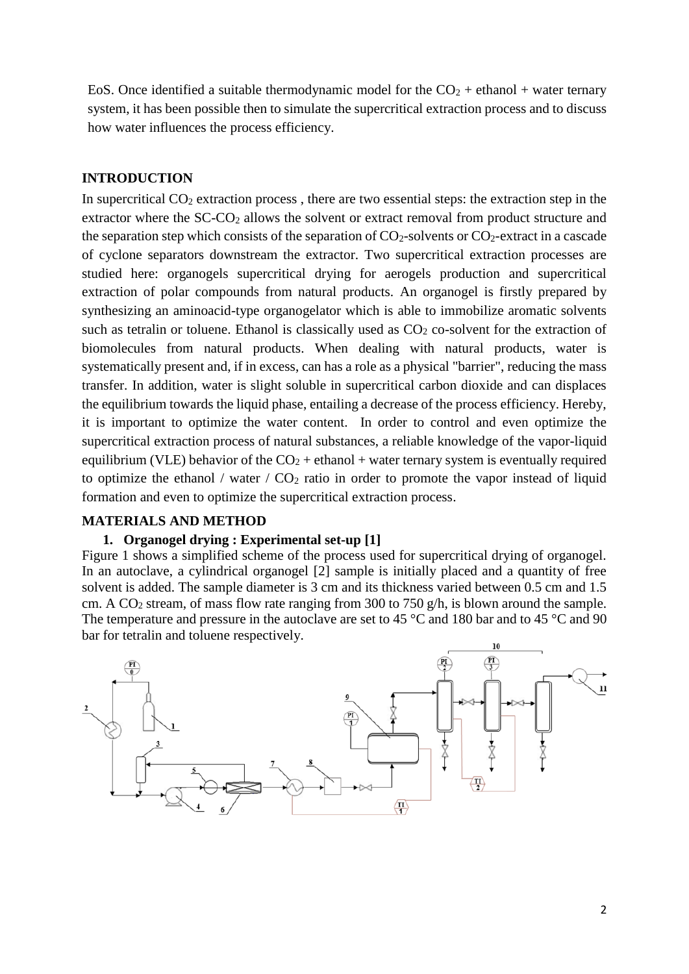EoS. Once identified a suitable thermodynamic model for the  $CO<sub>2</sub> +$  ethanol + water ternary system, it has been possible then to simulate the supercritical extraction process and to discuss how water influences the process efficiency.

#### **INTRODUCTION**

In supercritical  $CO<sub>2</sub>$  extraction process, there are two essential steps: the extraction step in the extractor where the SC-CO<sub>2</sub> allows the solvent or extract removal from product structure and the separation step which consists of the separation of  $CO_2$ -solvents or  $CO_2$ -extract in a cascade of cyclone separators downstream the extractor. Two supercritical extraction processes are studied here: organogels supercritical drying for aerogels production and supercritical extraction of polar compounds from natural products. An organogel is firstly prepared by synthesizing an aminoacid-type organogelator which is able to immobilize aromatic solvents such as tetralin or toluene. Ethanol is classically used as  $CO<sub>2</sub>$  co-solvent for the extraction of biomolecules from natural products. When dealing with natural products, water is systematically present and, if in excess, can has a role as a physical "barrier", reducing the mass transfer. In addition, water is slight soluble in supercritical carbon dioxide and can displaces the equilibrium towards the liquid phase, entailing a decrease of the process efficiency. Hereby, it is important to optimize the water content. In order to control and even optimize the supercritical extraction process of natural substances, a reliable knowledge of the vapor-liquid equilibrium (VLE) behavior of the  $CO<sub>2</sub> +$  ethanol + water ternary system is eventually required to optimize the ethanol / water  $/$  CO<sub>2</sub> ratio in order to promote the vapor instead of liquid formation and even to optimize the supercritical extraction process.

## **MATERIALS AND METHOD**

## **1. Organogel drying : Experimental set-up [1]**

Figure 1 shows a simplified scheme of the process used for supercritical drying of organogel. In an autoclave, a cylindrical organogel [2] sample is initially placed and a quantity of free solvent is added. The sample diameter is 3 cm and its thickness varied between 0.5 cm and 1.5 cm. A CO<sub>2</sub> stream, of mass flow rate ranging from 300 to 750 g/h, is blown around the sample. The temperature and pressure in the autoclave are set to 45 °C and 180 bar and to 45 °C and 90 bar for tetralin and toluene respectively.

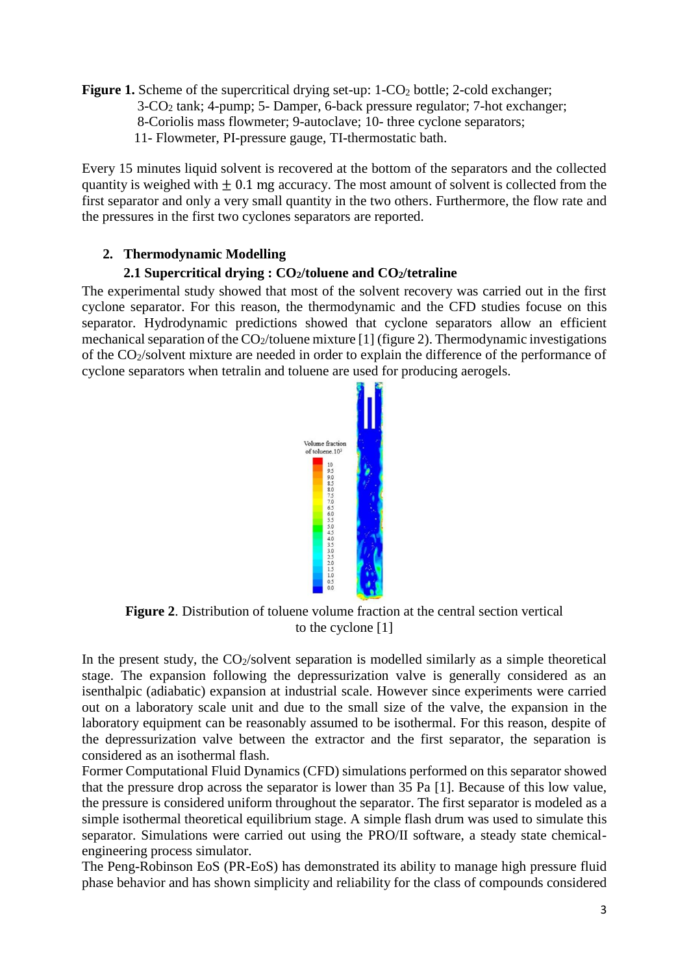**Figure 1.** Scheme of the supercritical drying set-up: 1-CO<sub>2</sub> bottle; 2-cold exchanger; 3-CO<sup>2</sup> tank; 4-pump; 5- Damper, 6-back pressure regulator; 7-hot exchanger; 8-Coriolis mass flowmeter; 9-autoclave; 10- three cyclone separators; 11- Flowmeter, PI-pressure gauge, TI-thermostatic bath.

Every 15 minutes liquid solvent is recovered at the bottom of the separators and the collected quantity is weighed with  $+0.1$  mg accuracy. The most amount of solvent is collected from the first separator and only a very small quantity in the two others. Furthermore, the flow rate and the pressures in the first two cyclones separators are reported.

## **2. Thermodynamic Modelling**

## **2.1 Supercritical drying : CO2/toluene and CO2/tetraline**

The experimental study showed that most of the solvent recovery was carried out in the first cyclone separator. For this reason, the thermodynamic and the CFD studies focuse on this separator. Hydrodynamic predictions showed that cyclone separators allow an efficient mechanical separation of the  $CO_2$ /toluene mixture [1] (figure 2). Thermodynamic investigations of the CO2/solvent mixture are needed in order to explain the difference of the performance of cyclone separators when tetralin and toluene are used for producing aerogels.



**Figure 2**. Distribution of toluene volume fraction at the central section vertical to the cyclone [1]

In the present study, the  $CO<sub>2</sub>/solvent$  separation is modelled similarly as a simple theoretical stage. The expansion following the depressurization valve is generally considered as an isenthalpic (adiabatic) expansion at industrial scale. However since experiments were carried out on a laboratory scale unit and due to the small size of the valve, the expansion in the laboratory equipment can be reasonably assumed to be isothermal. For this reason, despite of the depressurization valve between the extractor and the first separator, the separation is considered as an isothermal flash.

Former Computational Fluid Dynamics (CFD) simulations performed on this separator showed that the pressure drop across the separator is lower than 35 Pa [1]. Because of this low value, the pressure is considered uniform throughout the separator. The first separator is modeled as a simple isothermal theoretical equilibrium stage. A simple flash drum was used to simulate this separator. Simulations were carried out using the PRO/II software, a steady state chemicalengineering process simulator.

The Peng-Robinson EoS (PR-EoS) has demonstrated its ability to manage high pressure fluid phase behavior and has shown simplicity and reliability for the class of compounds considered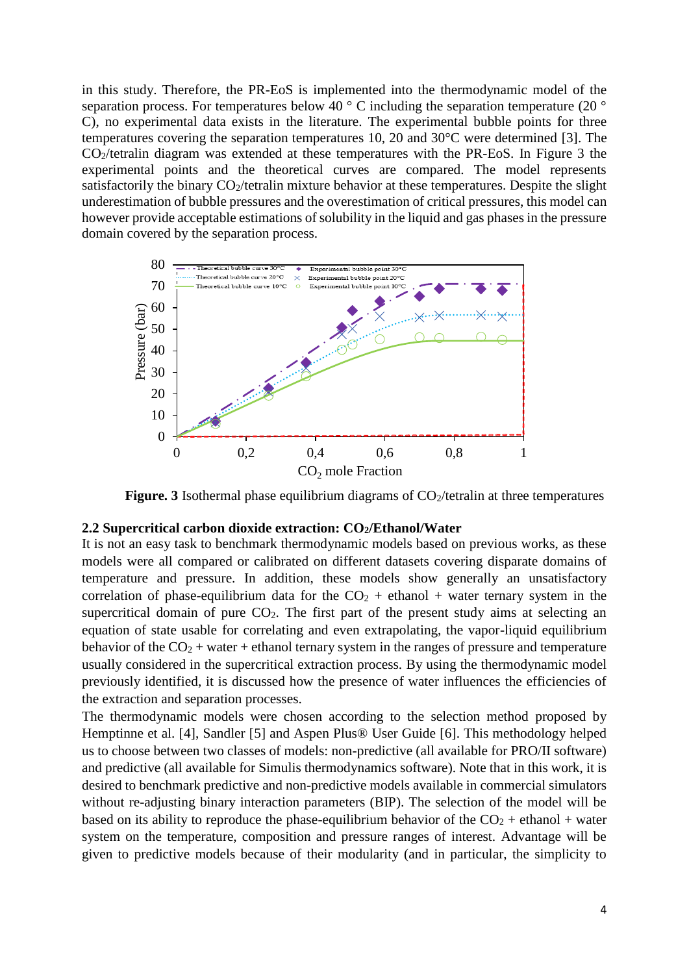in this study. Therefore, the PR-EoS is implemented into the thermodynamic model of the separation process. For temperatures below 40  $\degree$  C including the separation temperature (20  $\degree$ ) C), no experimental data exists in the literature. The experimental bubble points for three temperatures covering the separation temperatures 10, 20 and 30°C were determined [3]. The CO2/tetralin diagram was extended at these temperatures with the PR-EoS. In Figure 3 the experimental points and the theoretical curves are compared. The model represents satisfactorily the binary CO<sub>2</sub>/tetralin mixture behavior at these temperatures. Despite the slight underestimation of bubble pressures and the overestimation of critical pressures, this model can however provide acceptable estimations of solubility in the liquid and gas phases in the pressure domain covered by the separation process.



**Figure. 3** Isothermal phase equilibrium diagrams of  $CO_2$ /tetralin at three temperatures

#### **2.2 Supercritical carbon dioxide extraction: CO2/Ethanol/Water**

It is not an easy task to benchmark thermodynamic models based on previous works, as these models were all compared or calibrated on different datasets covering disparate domains of temperature and pressure. In addition, these models show generally an unsatisfactory correlation of phase-equilibrium data for the  $CO<sub>2</sub> + ethanol + water$  ternary system in the supercritical domain of pure  $CO<sub>2</sub>$ . The first part of the present study aims at selecting an equation of state usable for correlating and even extrapolating, the vapor-liquid equilibrium behavior of the  $CO<sub>2</sub>$  + water + ethanol ternary system in the ranges of pressure and temperature usually considered in the supercritical extraction process. By using the thermodynamic model previously identified, it is discussed how the presence of water influences the efficiencies of the extraction and separation processes.

The thermodynamic models were chosen according to the selection method proposed by Hemptinne et al. [4], Sandler [5] and Aspen Plus® User Guide [6]. This methodology helped us to choose between two classes of models: non-predictive (all available for PRO/II software) and predictive (all available for Simulis thermodynamics software). Note that in this work, it is desired to benchmark predictive and non-predictive models available in commercial simulators without re-adjusting binary interaction parameters (BIP). The selection of the model will be based on its ability to reproduce the phase-equilibrium behavior of the  $CO<sub>2</sub> + ethanol + water$ system on the temperature, composition and pressure ranges of interest. Advantage will be given to predictive models because of their modularity (and in particular, the simplicity to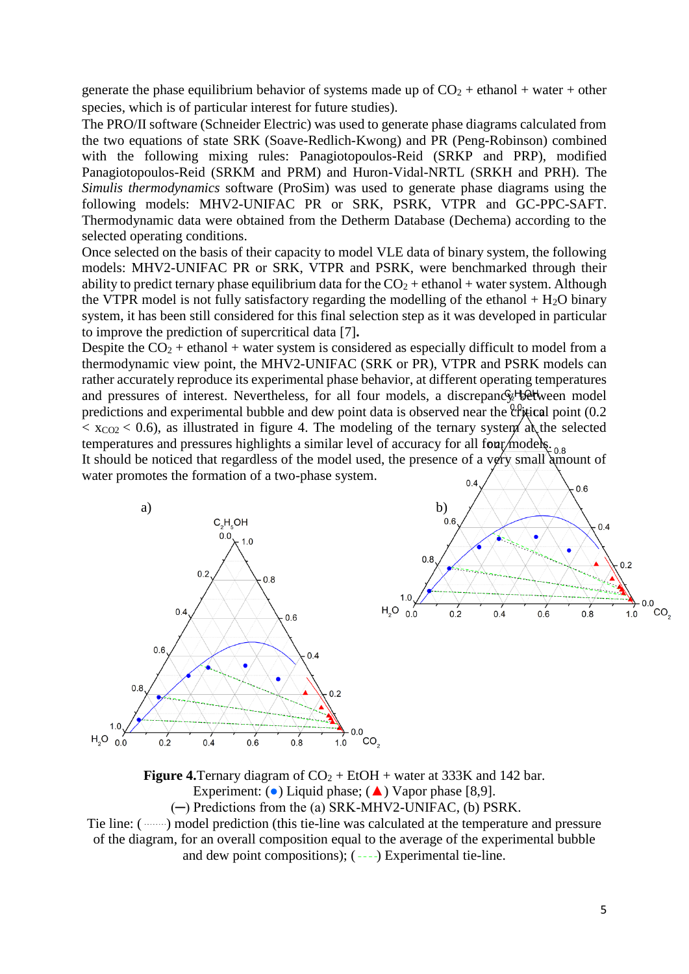generate the phase equilibrium behavior of systems made up of  $CO<sub>2</sub> +$  ethanol + water + other species, which is of particular interest for future studies).

The PRO/II software (Schneider Electric) was used to generate phase diagrams calculated from the two equations of state SRK (Soave-Redlich-Kwong) and PR (Peng-Robinson) combined with the following mixing rules: Panagiotopoulos-Reid (SRKP and PRP), modified Panagiotopoulos-Reid (SRKM and PRM) and Huron-Vidal-NRTL (SRKH and PRH). The *Simulis thermodynamics* software (ProSim) was used to generate phase diagrams using the following models: MHV2-UNIFAC PR or SRK, PSRK, VTPR and GC-PPC-SAFT. Thermodynamic data were obtained from the Detherm Database (Dechema) according to the selected operating conditions.

Once selected on the basis of their capacity to model VLE data of binary system, the following models: MHV2-UNIFAC PR or SRK, VTPR and PSRK, were benchmarked through their ability to predict ternary phase equilibrium data for the  $CO_2$  + ethanol + water system. Although the VTPR model is not fully satisfactory regarding the modelling of the ethanol  $+ H<sub>2</sub>O$  binary system, it has been still considered for this final selection step as it was developed in particular to improve the prediction of supercritical data [7]**.**

Despite the  $CO_2$  + ethanol + water system is considered as especially difficult to model from a thermodynamic view point, the MHV2-UNIFAC (SRK or PR), VTPR and PSRK models can rather accurately reproduce its experimental phase behavior, at different operating temperatures and pressures of interest. Nevertheless, for all four models, a discrepancy between model predictions and experimental bubble and dew point data is observed near the  $\frac{0.0}{2}$  point (0.2)  $\langle x_{\rm CO2} \rangle$  < 0.6), as illustrated in figure 4. The modeling of the ternary system at the selected temperatures and pressures highlights a similar level of accuracy for all four models.  $_{0.8}$ 

It should be noticed that regardless of the model used, the presence of a very small amount of water promotes the formation of a two-phase system.





**Figure 4.** Ternary diagram of  $CO_2 + EtOH + water$  at 333K and 142 bar. Experiment: ( $\bullet$ ) Liquid phase; ( $\blacktriangle$ ) Vapor phase [8,9]. (─) Predictions from the (a) SRK-MHV2-UNIFAC, (b) PSRK.

Tie line: (  $\ldots$ ) model prediction (this tie-line was calculated at the temperature and pressure of the diagram, for an overall composition equal to the average of the experimental bubble and dew point compositions);  $(- - )$  Experimental tie-line.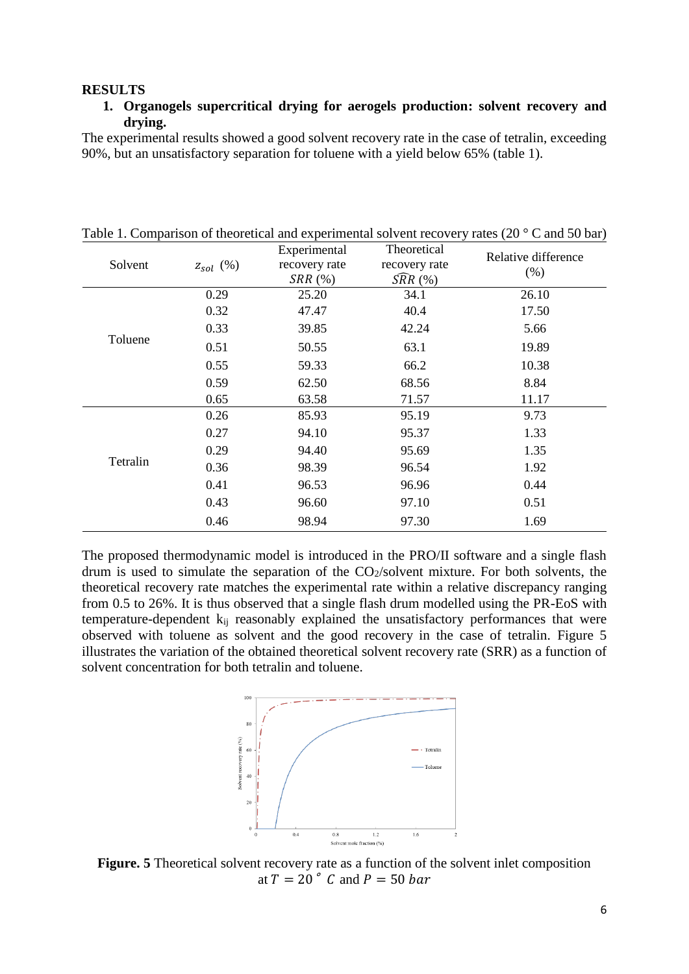#### **RESULTS**

## **1. Organogels supercritical drying for aerogels production: solvent recovery and drying.**

The experimental results showed a good solvent recovery rate in the case of tetralin, exceeding 90%, but an unsatisfactory separation for toluene with a yield below 65% (table 1).

|          |                 | Experimental            | Theoretical                          | Relative difference |
|----------|-----------------|-------------------------|--------------------------------------|---------------------|
| Solvent  | $z_{sol}\ (\%)$ | recovery rate<br>SRR(%) | recovery rate<br>$\widehat{SRR}$ (%) | (% )                |
|          |                 |                         |                                      |                     |
| 0.32     | 47.47           | 40.4                    | 17.50                                |                     |
| 0.33     | 39.85           | 42.24                   | 5.66                                 |                     |
| 0.51     | 50.55           | 63.1                    | 19.89                                |                     |
| 0.55     | 59.33           | 66.2                    | 10.38                                |                     |
| 0.59     | 62.50           | 68.56                   | 8.84                                 |                     |
| 0.65     | 63.58           | 71.57                   | 11.17                                |                     |
| Tetralin | 0.26            | 85.93                   | 95.19                                | 9.73                |
|          | 0.27            | 94.10                   | 95.37                                | 1.33                |
|          | 0.29            | 94.40                   | 95.69                                | 1.35                |
|          | 0.36            | 98.39                   | 96.54                                | 1.92                |
|          | 0.41            | 96.53                   | 96.96                                | 0.44                |
|          | 0.43            | 96.60                   | 97.10                                | 0.51                |
|          | 0.46            | 98.94                   | 97.30                                | 1.69                |

Table 1. Comparison of theoretical and experimental solvent recovery rates (20 ° C and 50 bar)

The proposed thermodynamic model is introduced in the PRO/II software and a single flash drum is used to simulate the separation of the  $CO<sub>2</sub>/solvent$  mixture. For both solvents, the theoretical recovery rate matches the experimental rate within a relative discrepancy ranging from 0.5 to 26%. It is thus observed that a single flash drum modelled using the PR-EoS with temperature-dependent kij reasonably explained the unsatisfactory performances that were observed with toluene as solvent and the good recovery in the case of tetralin. Figure 5 illustrates the variation of the obtained theoretical solvent recovery rate (SRR) as a function of solvent concentration for both tetralin and toluene.



**Figure. 5** Theoretical solvent recovery rate as a function of the solvent inlet composition at  $T = 20^\circ$  C and  $P = 50$  bar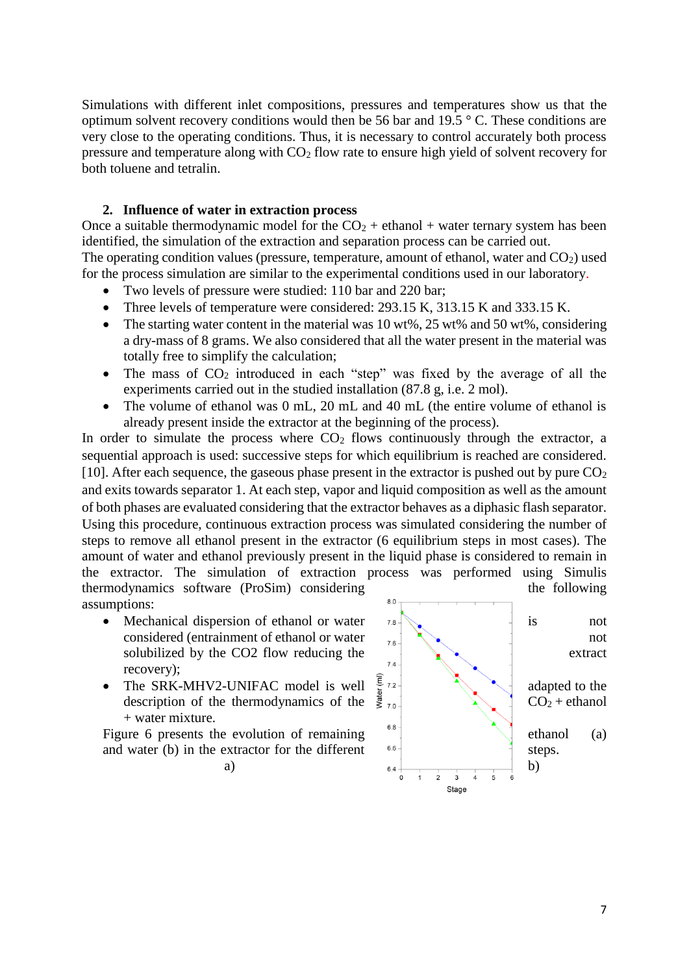Simulations with different inlet compositions, pressures and temperatures show us that the optimum solvent recovery conditions would then be 56 bar and 19.5 ° C. These conditions are very close to the operating conditions. Thus, it is necessary to control accurately both process pressure and temperature along with  $CO<sub>2</sub>$  flow rate to ensure high yield of solvent recovery for both toluene and tetralin.

## **2. Influence of water in extraction process**

Once a suitable thermodynamic model for the  $CO<sub>2</sub> +$  ethanol + water ternary system has been identified, the simulation of the extraction and separation process can be carried out. The operating condition values (pressure, temperature, amount of ethanol, water and  $CO<sub>2</sub>$ ) used

- for the process simulation are similar to the experimental conditions used in our laboratory.
	- Two levels of pressure were studied: 110 bar and 220 bar;
	- Three levels of temperature were considered: 293.15 K, 313.15 K and 333.15 K.
	- The starting water content in the material was 10 wt%,  $25$  wt% and  $50$  wt%, considering a dry-mass of 8 grams. We also considered that all the water present in the material was totally free to simplify the calculation;
	- The mass of  $CO<sub>2</sub>$  introduced in each "step" was fixed by the average of all the experiments carried out in the studied installation (87.8 g, i.e. 2 mol).
	- The volume of ethanol was 0 mL, 20 mL and 40 mL (the entire volume of ethanol is already present inside the extractor at the beginning of the process).

In order to simulate the process where  $CO<sub>2</sub>$  flows continuously through the extractor, a sequential approach is used: successive steps for which equilibrium is reached are considered. [10]. After each sequence, the gaseous phase present in the extractor is pushed out by pure  $CO<sub>2</sub>$ and exits towards separator 1. At each step, vapor and liquid composition as well as the amount of both phases are evaluated considering that the extractor behaves as a diphasic flash separator. Using this procedure, continuous extraction process was simulated considering the number of steps to remove all ethanol present in the extractor (6 equilibrium steps in most cases). The amount of water and ethanol previously present in the liquid phase is considered to remain in the extractor. The simulation of extraction process was performed using Simulis thermodynamics software (ProSim) considering the following the following assumptions:

- Mechanical dispersion of ethanol or water  $\frac{7.8}{10}$  is not considered (entrainment of ethanol or water  $\begin{array}{ccc} \n\hline\n\end{array}$   $\begin{array}{ccc}\n\hline\n\end{array}$  and solubilized by the CO2 flow reducing the  $\begin{array}{c} \begin{array}{c} \begin{array}{c} \end{array} \end{array}$  extract recovery);
- description of the thermodynamics of the  $\frac{3}{5}$  70 + water mixture.

and water (b) in the extractor for the different  $s_{6}$  steps.

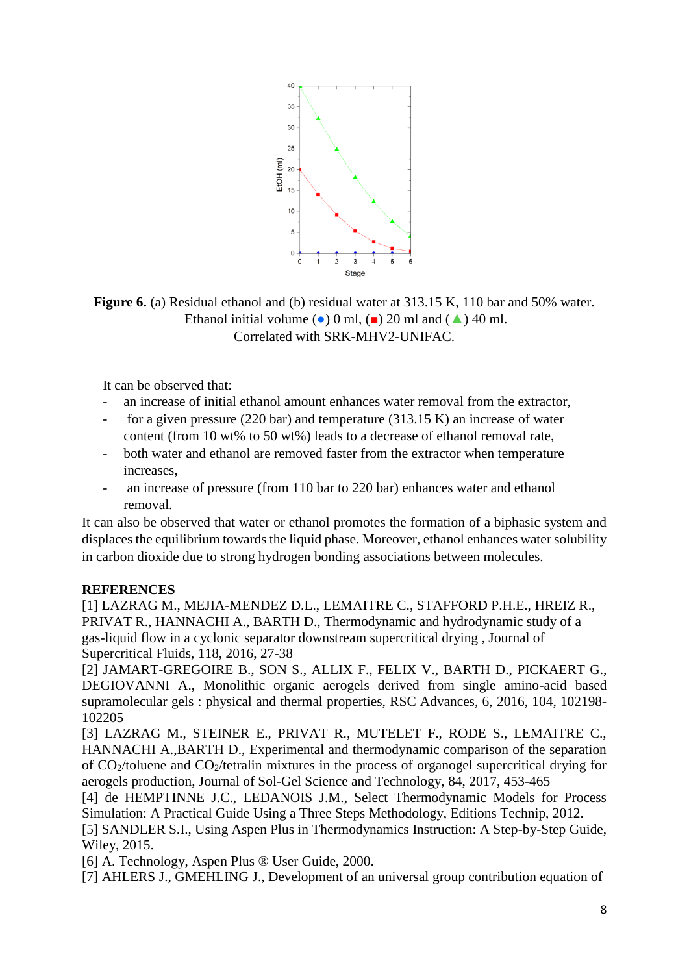

**Figure 6.** (a) Residual ethanol and (b) residual water at 313.15 K, 110 bar and 50% water. Ethanol initial volume ( $\bullet$ ) 0 ml, ( $\bullet$ ) 20 ml and ( $\bullet$ ) 40 ml. Correlated with SRK-MHV2-UNIFAC.

It can be observed that:

- an increase of initial ethanol amount enhances water removal from the extractor,
- for a given pressure  $(220 \text{ bar})$  and temperature  $(313.15 \text{ K})$  an increase of water content (from 10 wt% to 50 wt%) leads to a decrease of ethanol removal rate,
- both water and ethanol are removed faster from the extractor when temperature increases,
- an increase of pressure (from 110 bar to 220 bar) enhances water and ethanol removal.

It can also be observed that water or ethanol promotes the formation of a biphasic system and displaces the equilibrium towards the liquid phase. Moreover, ethanol enhances water solubility in carbon dioxide due to strong hydrogen bonding associations between molecules.

## **REFERENCES**

[1] LAZRAG M., MEJIA-MENDEZ D.L., LEMAITRE C., STAFFORD P.H.E., HREIZ R., PRIVAT R., HANNACHI A., BARTH D., Thermodynamic and hydrodynamic study of a gas-liquid flow in a cyclonic separator downstream supercritical drying , Journal of Supercritical Fluids, 118, 2016, 27-38

[2] JAMART-GREGOIRE B., SON S., ALLIX F., FELIX V., BARTH D., PICKAERT G., DEGIOVANNI A., Monolithic organic aerogels derived from single amino-acid based supramolecular gels : physical and thermal properties, RSC Advances, 6, 2016, 104, 102198- 102205

[3] LAZRAG M., STEINER E., PRIVAT R., MUTELET F., RODE S., LEMAITRE C., HANNACHI A.,BARTH D., Experimental and thermodynamic comparison of the separation of CO2/toluene and CO2/tetralin mixtures in the process of organogel supercritical drying for aerogels production, Journal of Sol-Gel Science and Technology, 84, 2017, 453-465

[4] de HEMPTINNE J.C., LEDANOIS J.M., Select Thermodynamic Models for Process Simulation: A Practical Guide Using a Three Steps Methodology, Editions Technip, 2012.

[5] SANDLER S.I., Using Aspen Plus in Thermodynamics Instruction: A Step-by-Step Guide, Wiley, 2015.

[6] A. Technology, Aspen Plus ® User Guide, 2000.

[7] AHLERS J., GMEHLING J., Development of an universal group contribution equation of